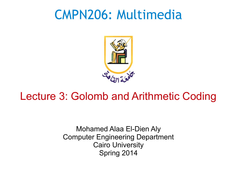# CMPN206: Multimedia



#### Lecture 3: Golomb and Arithmetic Coding

Mohamed Alaa El-Dien Aly Computer Engineering Department Cairo University Spring 2014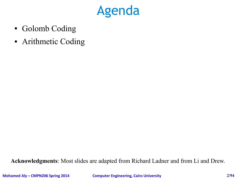

- Golomb Coding
- Arithmetic Coding

**Acknowledgments**: Most slides are adapted from Richard Ladner and from Li and Drew.

**Mohamed Aly – CMPN206 Spring 2014 Computer Engineering, Cairo University 2/94**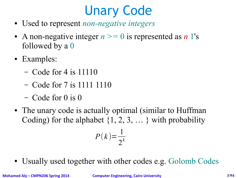# Unary Code

- Used to represent *non-negative integers*
- A non-negative integer  $n \geq 0$  is represented as *n* 1's followed by a 0
- Examples:
	- Code for 4 is 11110
	- Code for 7 is 1111 1110
	- Code for 0 is 0
- The unary code is actually optimal (similar to Huffman Coding) for the alphabet  $\{1, 2, 3, \dots\}$  with probability

$$
P(k) = \frac{1}{2^k}
$$

• Usually used together with other codes e.g. Golomb Codes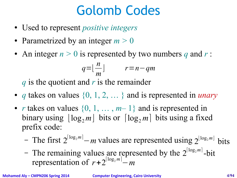# Golomb Codes

- Used to represent *positive integers*
- Parametrized by an integer  $m > 0$
- An integer  $n > 0$  is represented by two numbers q and  $r$ :

$$
q = \lfloor \frac{n}{m} \rfloor \qquad r = n - qm
$$

*q* is the quotient and *r* is the remainder

- *q* takes on values {0, 1, 2, … } and is represented in *unary*
- *r* takes on values  $\{0, 1, \ldots, m-1\}$  and is represented in binary using  $\lfloor \log_2 m \rfloor$  bits or  $\lceil \log_2 m \rceil$  bits using a fixed prefix code:
	- − The first 2<sup>[log<sub>2</sub>*m*]</sup> − *m* values are represented using 2<sup>[log<sub>2</sub>*m*]</sup> bits
	- The remaining values are represented by the 2<sup>[log<sub>2</sub>m]</sup>-bit representation of  $r+2^{\lceil \log_2 m \rceil} - m$

**Mohamed Aly – CMPN206 Spring 2014 Computer Engineering, Cairo University 4/94**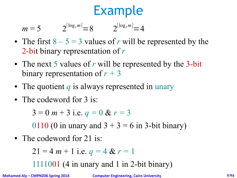$$
m = 5 \t 2^{\lceil \log_2 m \rceil} = 8 \t 2^{\lfloor \log_2 m \rfloor} = 4
$$

- The first  $8 5 = 3$  values of *r* will be represented by the 2-bit binary representation of *r*
- The next 5 values of *r* will be represented by the 3-bit binary representation of *r +* 3
- The quotient *q* is always represented in unary
- The codeword for 3 is:

 $3 = 0 m + 3$  i.e.  $q = 0 & r = 3$ 

0110 (0 in unary and  $3 + 3 = 6$  in 3-bit binary)

• The codeword for 21 is:

$$
21 = 4 m + 1
$$
 i.e.  $q = 4$  &  $r = 1$ 

1111001 (4 in unary and 1 in 2-bit binary)

**Mohamed Aly – CMPN206 Spring 2014 Computer Engineering, Cairo University 5/94**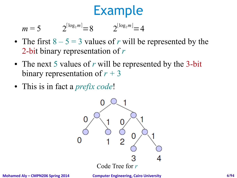$m = 5$  $2^{\lfloor \log_2 m \rfloor} = 8$   $2^{\lfloor \log_2 m \rfloor} = 4$ 

- The first  $8 5 = 3$  values of *r* will be represented by the 2-bit binary representation of *r*
- The next 5 values of *r* will be represented by the 3-bit binary representation of  $r + 3$
- This is in fact a *prefix code*!



**Mohamed Aly – CMPN206 Spring 2014 Computer Engineering, Cairo University 6/94**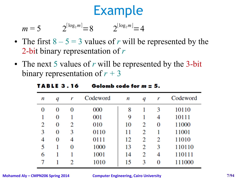$$
m = 5 \t 2^{\lceil \log_2 m \rceil} = 8 \t 2^{\lfloor \log_2 m \rfloor} = 4
$$

- The first  $8 5 = 3$  values of *r* will be represented by the 2-bit binary representation of *r*
- The next 5 values of *r* will be represented by the 3-bit binary representation of  $r + 3$

| n | q | r | Codeword | n  | q | r | Codeword |
|---|---|---|----------|----|---|---|----------|
| 0 | 0 | 0 | 000      | 8  |   | 3 | 10110    |
|   | 0 |   | 001      | 9  |   | 4 | 10111    |
| 2 | 0 | 2 | 010      | 10 | 2 | 0 | 11000    |
| 3 | 0 | 3 | 0110     | 11 | 2 |   | 11001    |
| 4 | 0 | 4 | 0111     | 12 | 2 | 2 | 11010    |
| 5 |   | 0 | 1000     | 13 | 2 | 3 | 110110   |
| 6 |   |   | 1001     | 14 | 2 | 4 | 110111   |
|   |   | 2 | 1010     | 15 | 3 | 0 | 111000   |

#### Golomb code for  $m = 5$ . **TABLE 3.16**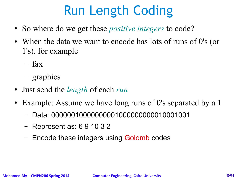# Run Length Coding

- So where do we get these *positive integers* to code?
- When the data we want to encode has lots of runs of 0's (or 1's), for example
	- fax
	- graphics
- Just send the *length* of each *run*
- Example: Assume we have long runs of 0's separated by a 1
	- Data: 00000010000000001000000000010001001
	- Represent as: 6 9 10 3 2
	- Encode these integers using Golomb codes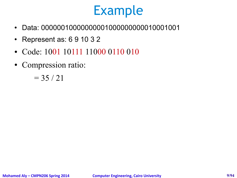- Data: 00000010000000001000000000010001001
- Represent as: 6 9 10 3 2
- Code: 1001 10111 11000 0110 010
- Compression ratio:

 $= 35 / 21$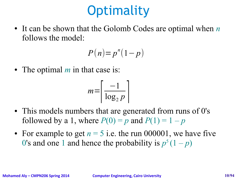# **Optimality**

• It can be shown that the Golomb Codes are optimal when *n* follows the model:

$$
P(n)=p^n(1-p)
$$

• The optimal *m* in that case is:

$$
m = \left\lceil \frac{-1}{\log_2 p} \right\rceil
$$

- This models numbers that are generated from runs of 0's followed by a 1, where  $P(0) = p$  and  $P(1) = 1 - p$
- For example to get  $n = 5$  i.e. the run 000001, we have five 0's and one 1 and hence the probability is  $p^5(1-p)$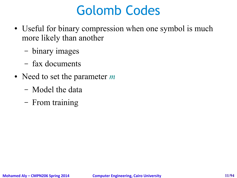# Golomb Codes

- Useful for binary compression when one symbol is much more likely than another
	- binary images
	- fax documents
- Need to set the parameter *m* 
	- Model the data
	- From training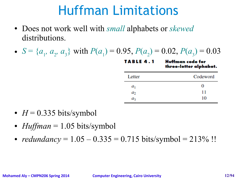# Huffman Limitations

- Does not work well with *small* alphabets or *skewed*  distributions.
- $S = \{a_1, a_2, a_3\}$  with  $P(a_1) = 0.95$ ,  $P(a_2) = 0.02$ ,  $P(a_3) = 0.03$

**TABLE 4.1 Huffman** code for three-letter alphabet.

| Letter  | Codeword |  |  |
|---------|----------|--|--|
| $a_{1}$ | 0        |  |  |
| $a_2$   | 11       |  |  |
| аz      | 10       |  |  |

- $H = 0.335$  bits/symbol
- $Huffman = 1.05 \, bits/symbol$
- *redundancy* =  $1.05 0.335 = 0.715$  bits/symbol =  $213\%$ !!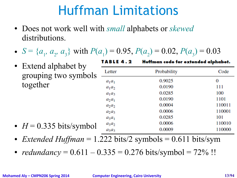# Huffman Limitations

- Does not work well with *small* alphabets or *skewed*  distributions.
- $S = \{a_1, a_2, a_3\}$  with  $P(a_1) = 0.95$ ,  $P(a_2) = 0.02$ ,  $P(a_3) = 0.03$

| • Extend alphabet by              | 1 A B L E 4 . Z<br>Huttman code for extended alphabet. |             |        |  |
|-----------------------------------|--------------------------------------------------------|-------------|--------|--|
| grouping two symbols              | Letter                                                 | Probability | Code   |  |
|                                   | $a_1a_1$                                               | 0.9025      | 0      |  |
| together                          | $a_1a_2$                                               | 0.0190      | 111    |  |
|                                   | $a_1a_3$                                               | 0.0285      | 100    |  |
|                                   | $a_2a_1$                                               | 0.0190      | 1101   |  |
|                                   | $a_2a_2$                                               | 0.0004      | 110011 |  |
|                                   | $a_2a_3$                                               | 0.0006      | 110001 |  |
|                                   | $a_3a_1$                                               | 0.0285      | 101    |  |
|                                   | $a_3a_2$                                               | 0.0006      | 110010 |  |
| • $H = 0.335 \text{ bits/symbol}$ | $a_3a_3$                                               | 0.0009      | 110000 |  |

- *Extended Huffman* = 1.222 bits/2 symbols = 0.611 bits/sym
- *redundancy* =  $0.611 0.335 = 0.276$  bits/symbol =  $72\%$ !!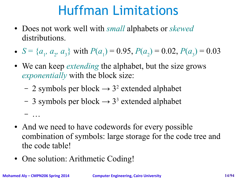# Huffman Limitations

- Does not work well with *small* alphabets or *skewed*  distributions.
- $S = \{a_1, a_2, a_3\}$  with  $P(a_1) = 0.95$ ,  $P(a_2) = 0.02$ ,  $P(a_3) = 0.03$
- We can keep *extending* the alphabet, but the size grows *exponentially* with the block size:
	- $-2$  symbols per block  $\rightarrow 3^2$  extended alphabet
	- $-$  3 symbols per block  $\rightarrow$  3<sup>3</sup> extended alphabet
- And we need to have codewords for every possible combination of symbols: large storage for the code tree and the code table!
- One solution: Arithmetic Coding!

– …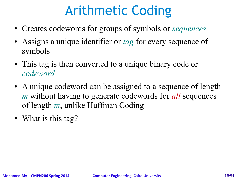# Arithmetic Coding

- Creates codewords for groups of symbols or *sequences*
- Assigns a unique identifier or *tag* for every sequence of symbols
- This tag is then converted to a unique binary code or *codeword*
- A unique codeword can be assigned to a sequence of length *m* without having to generate codewords for *all* sequences of length *m*, unlike Huffman Coding
- What is this tag?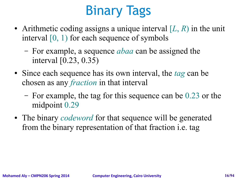# Binary Tags

- Arithmetic coding assigns a unique interval  $[L, R)$  in the unit interval [0, 1) for each sequence of symbols
	- For example, a sequence *abaa* can be assigned the interval [0.23, 0.35)
- Since each sequence has its own interval, the *tag* can be chosen as any *fraction* in that interval
	- For example, the tag for this sequence can be 0.23 or the midpoint 0.29
- The binary *codeword* for that sequence will be generated from the binary representation of that fraction i.e. tag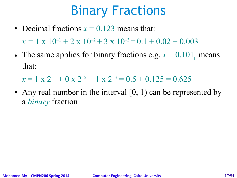# Binary Fractions

- Decimal fractions  $x = 0.123$  means that:  $x = 1 \times 10^{-1} + 2 \times 10^{-2} + 3 \times 10^{-3} = 0.1 + 0.02 + 0.003$
- The same applies for binary fractions e.g.  $x = 0.101$ <sub>b</sub> means that:

 $x = 1$  x  $2^{-1} + 0$  x  $2^{-2} + 1$  x  $2^{-3} = 0.5 + 0.125 = 0.625$ 

• Any real number in the interval  $[0, 1)$  can be represented by a *binary* fraction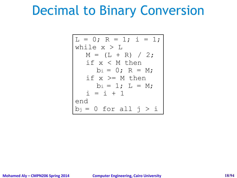### Decimal to Binary Conversion

L = 0; R = 1; i = 1; while x > L M = (L + R) / 2; if x < M then bi = 0; R = M; if x >= M then bi = 1; L = M; i = i + 1 end bj = 0 for all j > i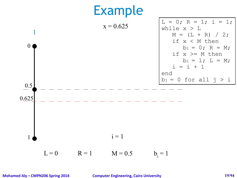

**Mohamed Aly – CMPN206 Spring 2014 Computer Engineering, Cairo University 19/94**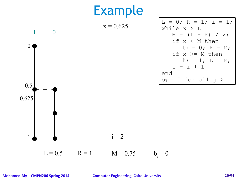

 $L = 0.5$   $R = 1$   $M = 0.75$  $b_i = 0$ 

**Mohamed Aly – CMPN206 Spring 2014 Computer Engineering, Cairo University 20/94**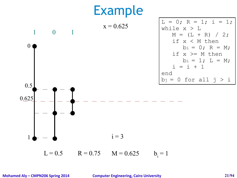

 $L = 0.5$  R = 0.75 M = 0.625  $b_i = 1$ 

**Mohamed Aly – CMPN206 Spring 2014 Computer Engineering, Cairo University 21/94**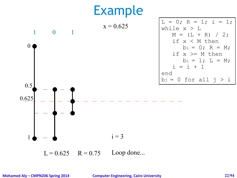

 $L = 0.625$   $R = 0.75$  Loop done...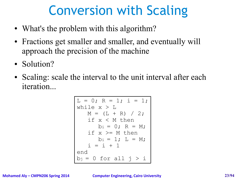# Conversion with Scaling

- What's the problem with this algorithm?
- Fractions get smaller and smaller, and eventually will approach the precision of the machine
- Solution?
- Scaling: scale the interval to the unit interval after each iteration...

L = 0; R = 1; i = 1; while x > L M = (L + R) / 2; if x < M then bi = 0; R = M; if x >= M then bi = 1; L = M; i = i + 1 end bj = 0 for all j > i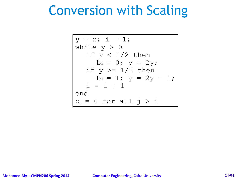# Conversion with Scaling

$$
y = x; i = 1;
$$
\nwhile y > 0  
\nif y < 1/2 then  
\nbi = 0; y = 2y;  
\nif y >= 1/2 then  
\nbi = 1; y = 2y - 1;  
\ni = i + 1  
\nend  
\nbj = 0 for all j > i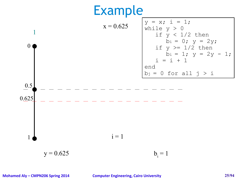

**Mohamed Aly – CMPN206 Spring 2014 Computer Engineering, Cairo University 25/94**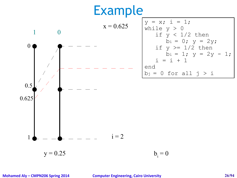

$$
y = x; i = 1;
$$
\nwhile y > 0  
\nif y < 1/2 then  
\nbi = 0; y = 2y;  
\nif y > = 1/2 then  
\nbi = 1; y = 2y - 1;  
\ni = i + 1  
\nend  
\nbj = 0 for all j > i

 $b_i = 0$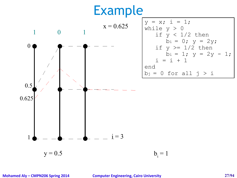

$$
y = x; i = 1;
$$
\nwhile y > 0  
\nif y < 1/2 then  
\nbi = 0; y = 2y;  
\nif y >= 1/2 then  
\nbi = 1; y = 2y - 1;  
\ni = i + 1  
\nend  
\nbj = 0 for all j > i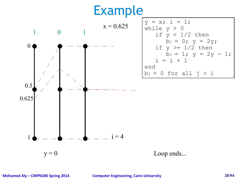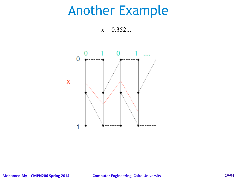#### Another Example

 $x = 0.352...$ 

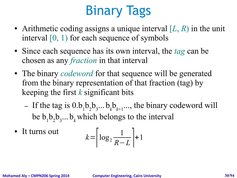# Binary Tags

- Arithmetic coding assigns a unique interval  $[L, R)$  in the unit interval [0, 1) for each sequence of symbols
- Since each sequence has its own interval, the *tag* can be chosen as any *fraction* in that interval
- The binary *codeword* for that sequence will be generated from the binary representation of that fraction (tag) by keeping the first *k* significant bits
	- If the tag is  $0.b_1b_2b_3... b_k b_{k+1}...$ , the binary codeword will be  $b_1b_2b_3...b_k$  which belongs to the interval
- It turns out

$$
k = \left\lceil \log_2 \frac{1}{R - L} \right\rceil + 1
$$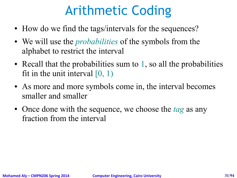# Arithmetic Coding

- How do we find the tags/intervals for the sequences?
- We will use the *probabilities* of the symbols from the alphabet to restrict the interval
- Recall that the probabilities sum to  $1$ , so all the probabilities fit in the unit interval  $[0, 1)$
- As more and more symbols come in, the interval becomes smaller and smaller
- Once done with the sequence, we choose the *tag* as any fraction from the interval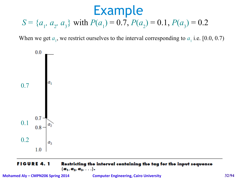#### *S* = { $a_1$ ,  $a_2$ ,  $a_3$ } with  $P(a_1) = 0.7$ ,  $P(a_2) = 0.1$ ,  $P(a_3) = 0.2$

When we get  $a_1$ , we restrict ourselves to the interval corresponding to  $a_1$  i.e. [0.0, 0.7)



#### **FIGURE 4.1** Restricting the interval containing the tag for the input sequence  $\{a_1, a_2, a_3, \ldots\}$ .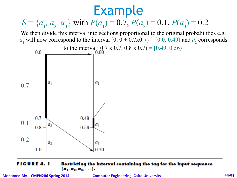

#### **FIGURE 4.1** Restricting the interval containing the tag for the input sequence  ${a_1, a_2, a_3, \ldots}.$

**Mohamed Aly – CMPN206 Spring 2014 Computer Engineering, Cairo University 33/94**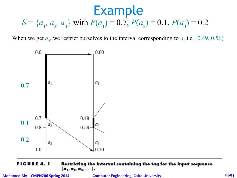*S* = { $a_1$ ,  $a_2$ ,  $a_3$ } with  $P(a_1) = 0.7$ ,  $P(a_2) = 0.1$ ,  $P(a_3) = 0.2$ 

When we get  $a_2$ , we restrict ourselves to the interval corresponding to  $a_2$  i.e. [0.49, 0.56)



#### **FIGURE 4.1** Restricting the interval containing the tag for the input sequence  $\{a_1, a_2, a_3, \ldots\}$ .

**Mohamed Aly – CMPN206 Spring 2014 Computer Engineering, Cairo University 34/94**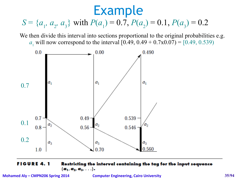#### *S* = { $a_1$ ,  $a_2$ ,  $a_3$ } with  $P(a_1) = 0.7$ ,  $P(a_2) = 0.1$ ,  $P(a_3) = 0.2$

We then divide this interval into sections proportional to the original probabilities e.g. *a*<sub>1</sub> will now correspond to the interval  $[0.49, 0.49 + 0.7 \times 0.07) = [0.49, 0.539)$ 



#### **FIGURE 4.1** Restricting the interval containing the tag for the input sequence  $\{a_1, a_2, a_3, \ldots\}$ .

**Mohamed Aly – CMPN206 Spring 2014 Computer Engineering, Cairo University 35/94**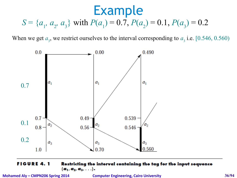*S* = { $a_1$ ,  $a_2$ ,  $a_3$ } with  $P(a_1) = 0.7$ ,  $P(a_2) = 0.1$ ,  $P(a_3) = 0.2$ 

When we get  $a_3$ , we restrict ourselves to the interval corresponding to  $a_3$  i.e. [0.546, 0.560)



#### Restricting the interval containing the tag for the input sequence **FIGURE 4.1**  $\{a_1, a_2, a_3, \ldots\}$ .

**Mohamed Aly – CMPN206 Spring 2014 Computer Engineering, Cairo University 36/94**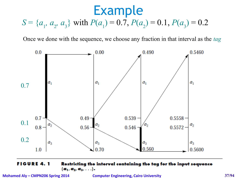*S* = { $a_1$ ,  $a_2$ ,  $a_3$ } with  $P(a_1) = 0.7$ ,  $P(a_2) = 0.1$ ,  $P(a_3) = 0.2$ 

Once we done with the sequence, we choose any fraction in that interval as the *tag*



 $\{a_1, a_2, a_3, \ldots\}$ .

**Mohamed Aly – CMPN206 Spring 2014 Computer Engineering, Cairo University 37/94**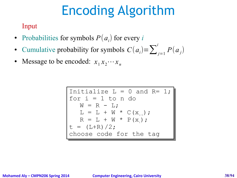# Encoding Algorithm

Input

- Probabilities for symbols  $P(a_i)$  for every *i*
- Cumulative probability for symbols  $C(a_i) = \sum_{j=1}^{i}$  $P(a_j)$
- Message to be encoded:  $x_1 x_2 \cdots x_n$

$$
\begin{array}{|l|l|} \hline \text{Initialize L = 0 and R= 1;} \\ \text{for i = 1 to n do} \\ W = R - L; \\ L = L + W * C(x_{i-1}); \\ R = L + W * P(x_i); \\ t = (L+R)/2; \\ \hline \text{choose code for the tag} \end{array}
$$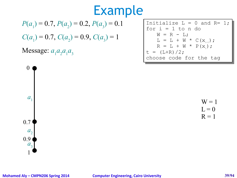$$
P(a_1) = 0.7, P(a_2) = 0.2, P(a_3) = 0.1
$$

 $C(a_1) = 0.7$ ,  $C(a_2) = 0.9$ ,  $C(a_3) = 1$ 

### Message:  $a_1 a_2 a_1 a_3$

| Initialize $L = 0$ and $R = 1$ ; |
|----------------------------------|
| $for i = 1 to n do$              |
| $W = R - L$                      |
| $L = L + W * C(x_{i-1})$ ;       |
| $R = L + W * P(x_1);$            |
| $t = (L+R)/2;$                   |
| choose code for the tag          |

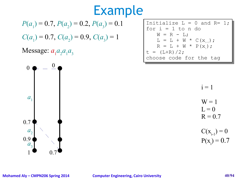$$
P(a_1) = 0.7, P(a_2) = 0.2, P(a_3) = 0.1
$$

 $C(a_1) = 0.7$ ,  $C(a_2) = 0.9$ ,  $C(a_3) = 1$ 

### Message:  $a_1 a_2 a_1 a_3$



| Initialize $L = 0$ and $R = 1$ ; |
|----------------------------------|
| $\vert$ for $i = 1$ to n do      |
| $W = R - L$ ;                    |
| $L = L + W * C(x_{i-1})$ ;       |
| $R = L + W * P(x)$ ;             |
| $t = (L+R)/2;$                   |
| choose code for the tag          |

 $i = 1$ 

$$
W = 1
$$
  

$$
L = 0
$$

$$
R = 0.7
$$

 $C(x_{i-1}) = 0$  $P(x_i) = 0.7$ 

### **Mohamed Aly – CMPN206 Spring 2014 Computer Engineering, Cairo University 40/94**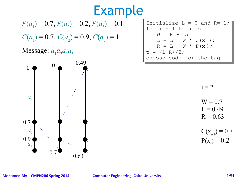$$
P(a_1) = 0.7, P(a_2) = 0.2, P(a_3) = 0.1
$$

 $C(a_1) = 0.7$ ,  $C(a_2) = 0.9$ ,  $C(a_3) = 1$ 

Message:  $a_1 a_2 a_1 a_3$ 



| Initialize $L = 0$ and $R = 1$ ; |
|----------------------------------|
| $\vert$ for i = 1 to n do        |
| $W = R - L$                      |
| $L = L + W * C(x_{i-1})$ ;       |
| $R = L + W * P(x_1);$            |
| $ t = (L+R)/2;$                  |
| choose code for the tag          |

 $i = 2$ 

$$
W = 0.7
$$
  

$$
L = 0.49
$$

$$
R=0.63
$$

$$
C(x_{i-1}) = 0.7
$$
  
P(x<sub>i</sub>) = 0.2

### **Mohamed Aly – CMPN206 Spring 2014 Computer Engineering, Cairo University 41/94**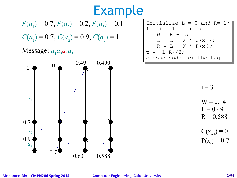$$
P(a_1) = 0.7, P(a_2) = 0.2, P(a_3) = 0.1
$$

 $C(a_1) = 0.7$ ,  $C(a_2) = 0.9$ ,  $C(a_3) = 1$ 

### Message:  $a_1 a_2 a_1 a_3$



| Initialize $L = 0$ and $R = 1$ ; |
|----------------------------------|
| for $i = 1$ to n do              |
| $W = R - L$ ;                    |
| $L = L + W * C(x_{i-1})$ ;       |
| $R = L + W * P(x_1);$            |
| $t = (L+R)/2;$                   |
| choose code for the tag          |

 $i = 3$ 

$$
W = 0.14
$$

$$
L = 0.49
$$

$$
R=0.588
$$

$$
C(x_{i-1}) = 0
$$

$$
P(x_i) = 0.7
$$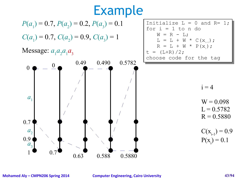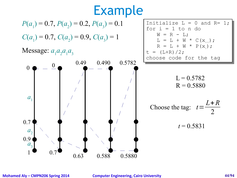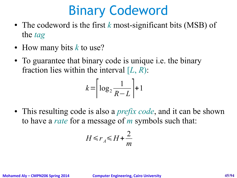## Binary Codeword

- The codeword is the first *k* most-significant bits (MSB) of the *tag*
- How many bits *k* to use?
- To guarantee that binary code is unique i.e. the binary fraction lies within the interval [*L*, *R*):

$$
k = \left\lceil \log_2 \frac{1}{R - L} \right\rceil + 1
$$

• This resulting code is also a *prefix code*, and it can be shown to have a *rate* for a message of *m* symbols such that:

$$
H \le r_A \le H + \frac{2}{m}
$$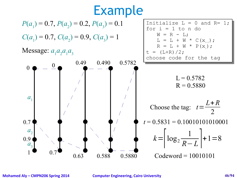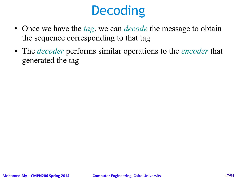# **Decoding**

- Once we have the *tag*, we can *decode* the message to obtain the sequence corresponding to that tag
- The *decoder* performs similar operations to the *encoder* that generated the tag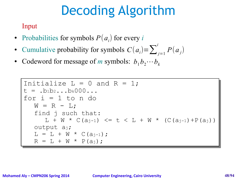# Decoding Algorithm

Input

- Probabilities for symbols  $P(a_i)$  for every *i*
- Cumulative probability for symbols  $C(a_i) = \sum_{j=1}^{i}$  $P(a_j)$
- Codeword for message of *m* symbols:  $b_1 b_2 \cdots b_k$

```
Initialize L = 0 and R = 1;
t = .b1b2...bk000...
for i = 1 to n do
for i = 1 to n do
   W = R - L;find j such that:
find j such that:
       L + W * C(a_{j-1}) \le t < L + W * (C(a_{j-1}) + P(a_j))output aj;
output aj;
   L = L + W * C(a_{j-1});R = L + W * P(a_j);
```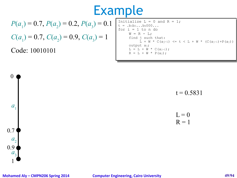$$
P(a_1) = 0.7, P(a_2) = 0.2, P(a_3) = 0.1
$$

 $C(a_1) = 0.7$ ,  $C(a_2) = 0.9$ ,  $C(a_3) = 1$ 

Code: 10010101

0

*a*1

1

 $a_{3}$ 

 $a<sub>2</sub>$ 

0.7

0.9

```
Initialize L = 0 and R = 1;
 t = 0.0102...bK000...for i = 1 to n do
      w - R - L;<br>find j such that:
       f \text{ in } \mathbb{R}^n such that:
             L + W * C(a_{j-1}) \le t \le L + W * (C(a_{j-1}) + P(a_j))acput aj,<br>- II M
      L = L + W * C(a_{j-1});R = L + W * P(a_j);t = .b_1b_2...b_k000...W = R - L;
      output aj;
```
 $t = 0.5831$  $L = 0$  $R = 1$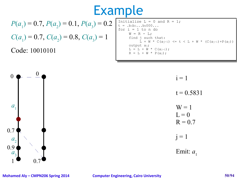$$
P(a_1) = 0.7, P(a_2) = 0.1, P(a_3) = 0.2
$$

 $C(a_1) = 0.7$ ,  $C(a_2) = 0.8$ ,  $C(a_3) = 1$ 

Code: 10010101

Initialize  $L = 0$  and  $R = 1$ ;  $t = 0.0102...bK000...$ for  $i = 1$  to n do  $U - K = \mu$ ;<br>ind i quab find j such that:  $L + W * C(a_{j-1}) \le t \le L + W * (C(a_{j-1}) + P(a_j))$  $U = L + W * C(a_{j-1});$ L = ⊥ + W \* ∪(aj-l),<br>, \_ T + M \* D(ai).  $R = L + W * P(a_j);$  $t = .b_1b_2...b_k000...$  $W = R - L$ ; output aj;

 $i = 1$ 

 $t = 0.5831$ 



 $j = 1$ 

Emit:  $a_1$ 



### **Mohamed Aly – CMPN206 Spring 2014 Computer Engineering, Cairo University 50/94**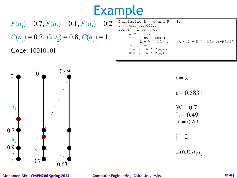$$
P(a_1) = 0.7, P(a_2) = 0.1, P(a_3) = 0.2
$$

 $C(a_1) = 0.7$ ,  $C(a_2) = 0.8$ ,  $C(a_3) = 1$ 

Code: 10010101

Initialize  $L = 0$  and  $R = 1$ ;  $t = 0.0102...bK000...$ for  $i = 1$  to n do w - R - L;<br>find j such that:  $f \text{ in } \mathbb{R}^n$  such that:  $L + W * C(a_{j-1}) \le t \le L + W * (C(a_{j-1}) + P(a_j))$ acput aj,<br>- II M  $L = L + W * C(a_{j-1});$  $R = L + W * P(a_j);$  $t = .b_1b_2...b_k000...$  $W = R - L$ ; output aj;



 $i = 2$ 

 $t = 0.5831$ 

$$
W = 0.7
$$
  

$$
L = 0.49
$$
  

$$
R = 0.63
$$

 $j = 2$ 

Emit:  $a_1 a_2$ 

### **Mohamed Aly – CMPN206 Spring 2014 Computer Engineering, Cairo University 51/94**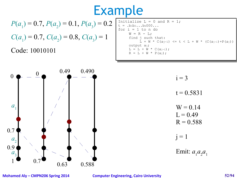$$
P(a_1) = 0.7, P(a_2) = 0.1, P(a_3) = 0.2
$$

$$
C(a_1) = 0.7, C(a_2) = 0.8, C(a_3) = 1
$$

Code: 10010101



```
Initialize L = 0 and R = 1;
 t = 0.0102...bK000...for i = 1 to n do
       U - K = \mu;<br>ind i quab
      find j such that:
             L + W * C(a_{j-1}) \le t \le L + W * (C(a_{j-1}) + P(a_j))U = L + W * C(a_{j-1});L = ⊥ + W * ∪(aj-l),<br>, _ T + M * D(ai).
      R = L + W * P(a_j);t = .b_1b_2...b_k000...W = R - L;
      output aj;
```
 $i = 3$  $t = 0.5831$ 

$$
W = 0.14 \nL = 0.49 \nR = 0.588
$$

 $j = 1$ 

Emit:  $a_1 a_2 a_1$ 

**Mohamed Aly – CMPN206 Spring 2014 Computer Engineering, Cairo University 52/94**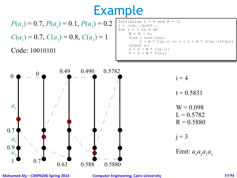$$
P(a_1) = 0.7, P(a_2) = 0.1, P(a_3) = 0.2
$$
  

$$
C(a_1) = 0.7, C(a_2) = 0.8, C(a_3) = 1
$$

 $C(a_1) = 0.7$ ,  $C(a_2) = 0.8$ ,  $C(a_3) = 1$ 

Code: 10010101

```
Initialize L = 0 and R = 1;
 t = 0.0102...bK000...for i = 1 to n do
       w - R - L;<br>find j such that:
        f \text{ in } \mathbb{R}^n such that:
             L + W * C(a_{j-1}) \le t \le L + W * (C(a_{j-1}) + P(a_j))U = L + W * C(a_{j-1});L = ⊥ + W * ∪(aj-l),<br>, _ T + M * D(ai).
       R = L + W * P(a_j);t =.b1b2...bk000...
      W = R - L;
      output aj;
```


**Mohamed Aly – CMPN206 Spring 2014 Computer Engineering, Cairo University 53/94**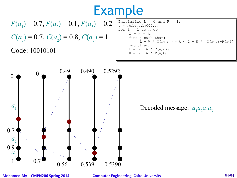$$
P(a_1) = 0.7, P(a_2) = 0.1, P(a_3) = 0.2
$$

 $C(a_1) = 0.7$ ,  $C(a_2) = 0.8$ ,  $C(a_3) = 1$ 

Code: 10010101

```
Initialize L = 0 and R = 1;
 t = 0.0102...bK000...for i = 1 to n do
       w - R - L;<br>find j such that:
        f \text{ in } \mathbb{R}^n such that:
             L + W * C(a_{j-1}) \le t \le L + W * (C(a_{j-1}) + P(a_j))U = L + W * C(a_{j-1});L = ⊥ + W * ∪(aj-l),<br>, _ T + M * D(ai).
       R = L + W * P(a_j);t =.b1b2...bk000...
      W = R - L;
      output aj;
```
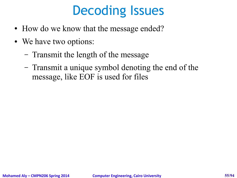## Decoding Issues

- How do we know that the message ended?
- We have two options:
	- Transmit the length of the message
	- Transmit a unique symbol denoting the end of the message, like EOF is used for files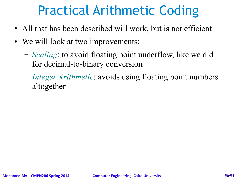## Practical Arithmetic Coding

- All that has been described will work, but is not efficient
- We will look at two improvements:
	- *Scaling*: to avoid floating point underflow, like we did for decimal-to-binary conversion
	- *Integer Arithmetic*: avoids using floating point numbers altogether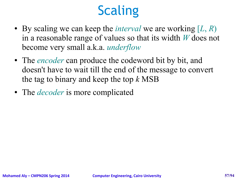# **Scaling**

- By scaling we can keep the *interval* we are working [*L*, *R*) in a reasonable range of values so that its width *W* does not become very small a.k.a. *underflow*
- The *encoder* can produce the codeword bit by bit, and doesn't have to wait till the end of the message to convert the tag to binary and keep the top *k* MSB
- The *decoder* is more complicated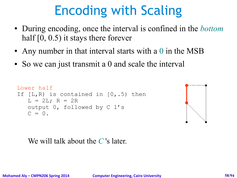- During encoding, once the interval is confined in the *bottom*  half [0, 0.5) it stays there forever
- Any number in that interval starts with a 0 in the MSB
- So we can just transmit a 0 and scale the interval

```
Lower half
If [L, R) is contained in [0, .5) then
   L = 2L; R = 2R
   output 0, followed by C 1's
   C = 0.
```


We will talk about the *C* 's later.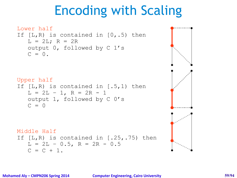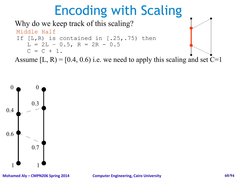### Why do we keep track of this scaling?



Assume  $[L, R) = [0.4, 0.6)$  i.e. we need to apply this scaling and set  $C=1$ 

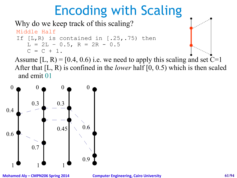### Why do we keep track of this scaling?

```
Middle Half
If [L,R) is contained in [.25,.75) then
   L = 2L - 0.5, R = 2R - 0.5C = C + 1.
```
Assume [L, R) = [0.4, 0.6) i.e. we need to apply this scaling and set  $C=1$ After that [L, R) is confined in the *lower* half [0, 0.5) which is then scaled and emit 01

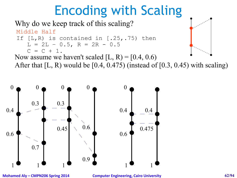### Why do we keep track of this scaling?

Middle Half

If 
$$
[L,R)
$$
 is contained in  $[.25, .75)$  then

$$
L = 2L - 0.5, R = 2R - 0.5
$$

$$
C = C + 1.
$$

Now assume we haven't scaled  $[L, R] = [0.4, 0.6]$ 

After that  $[L, R)$  would be  $[0.4, 0.475)$  (instead of  $[0.3, 0.45)$  with scaling)



**Mohamed Aly – CMPN206 Spring 2014 Computer Engineering, Cairo University 62/94**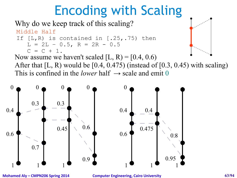### Why do we keep track of this scaling?

Middle Half

If 
$$
[L,R)
$$
 is contained in  $[.25, .75)$  then

$$
L = 2L - 0.5, R = 2R - 0.5
$$

$$
C = C + 1.
$$

Now assume we haven't scaled  $[L, R] = [0.4, 0.6)$ 

After that  $[L, R)$  would be  $[0.4, 0.475)$  (instead of  $[0.3, 0.45)$  with scaling) This is confined in the *lower* half  $\rightarrow$  scale and emit 0



**Mohamed Aly – CMPN206 Spring 2014 Computer Engineering, Cairo University 63/94**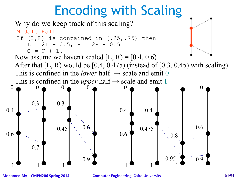### Why do we keep track of this scaling?



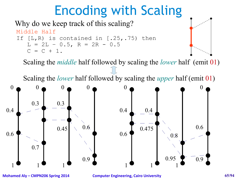### Why do we keep track of this scaling?



Scaling the *middle* half followed by scaling the *lower* half (emit 01)

Scaling the *lower* half followed by scaling the *upper* half (emit 01)

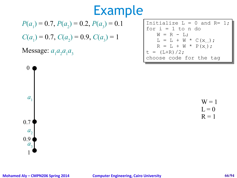$$
P(a_1) = 0.7, P(a_2) = 0.2, P(a_3) = 0.1
$$

 $C(a_1) = 0.7$ ,  $C(a_2) = 0.9$ ,  $C(a_3) = 1$ 

### Message:  $a_1 a_2 a_1 a_3$

| Initialize $L = 0$ and $R = 1$ ; |
|----------------------------------|
| for $i = 1$ to n do              |
| $W = R - L$                      |
| $L = L + W * C(x_{i_{-1}});$     |
| $R = L + W * P(x_i);$            |
| $t = (L+R)/2;$                   |
| choose code for the tag          |

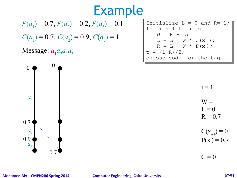$$
P(a_1) = 0.7, P(a_2) = 0.2, P(a_3) = 0.1
$$

 $C(a_1) = 0.7$ ,  $C(a_2) = 0.9$ ,  $C(a_3) = 1$ 

### Message:  $a_1 a_2 a_1 a_3$





 $i = 1$ 

$$
W = 1
$$
  

$$
L = 0
$$

$$
R=0.7
$$

 $C(x_{i-1}) = 0$  $P(x_i) = 0.7$ 

 $C = 0$ 

### **Mohamed Aly – CMPN206 Spring 2014 Computer Engineering, Cairo University 67/94**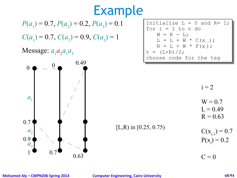$$
P(a_1) = 0.7, P(a_2) = 0.2, P(a_3) = 0.1
$$

 $C(a_1) = 0.7$ ,  $C(a_2) = 0.9$ ,  $C(a_3) = 1$ 

Message:  $a_1 a_2 a_1 a_3$ 



| Initialize $L = 0$ and $R = 1$ ; |
|----------------------------------|
| for $i = 1$ to n do              |
| $W = R - L$ ;                    |
| $L = L + W * C(x_{i-1})$ ;       |
| $R = L + W * P(x_1);$            |
| $t = (L+R)/2;$                   |
| choose code for the tag          |

 $i = 2$ 

$$
W = 0.7
$$
  

$$
L = 0.49
$$

 $R = 0.63$ 

[L,R) in [0.25, 0.75)

 $C(x_{i-1}) = 0.7$  $P(x_i) = 0.2$ 

 $C = 0$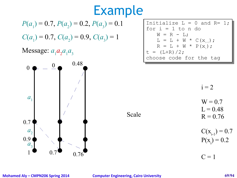$$
P(a_1) = 0.7, P(a_2) = 0.2, P(a_3) = 0.1
$$

 $C(a_1) = 0.7$ ,  $C(a_2) = 0.9$ ,  $C(a_3) = 1$ 

Message:  $a_1 a_2 a_1 a_3$ 



| Initialize $L = 0$ and $R = 1$ ; |
|----------------------------------|
| for $i = 1$ to n do              |
| $W = R - L$                      |
| $L = L + W * C(x_{i-1})$ ;       |
| $R = L + W * P(x_1);$            |
| $t = (L+R)/2;$                   |
| choose code for the tag          |

 $i = 2$ 

 $W = 0.7$  $L = 0.48$ 

 $R = 0.76$ 

 $C(x_{i-1}) = 0.7$  $P(x_i) = 0.2$ 

 $C = 1$ 

Scale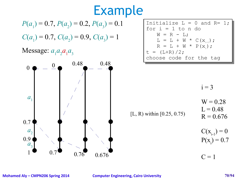$$
P(a_1) = 0.7, P(a_2) = 0.2, P(a_3) = 0.1
$$

 $C(a_1) = 0.7$ ,  $C(a_2) = 0.9$ ,  $C(a_3) = 1$ 

### Message:  $a_1 a_2 a_1 a_3$



| Initialize $L = 0$ and $R = 1$ ; |
|----------------------------------|
| for $i = 1$ to n do              |
| $W = R - L$                      |
| $L = L + W * C(x_{i-1})$ ;       |
| $R = L + W * P(x)$ ;             |
| $t = (L+R)/2;$                   |
| choose code for the tag          |

[L, R) within [0.25, 0.75)

 $i = 3$ 

$$
W = 0.28
$$

$$
L = 0.48
$$

$$
R = 0.676
$$

 $C(x_{i-1}) = 0$  $P(x_i) = 0.7$ 

 $C = 1$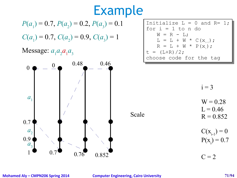$$
P(a_1) = 0.7, P(a_2) = 0.2, P(a_3) = 0.1
$$

 $C(a_1) = 0.7$ ,  $C(a_2) = 0.9$ ,  $C(a_3) = 1$ 

### Message:  $a_1 a_2 a_1 a_3$



| Initialize $L = 0$ and $R = 1$ ; |
|----------------------------------|
| for $i = 1$ to n do              |
| $W = R - L$ ;                    |
| $L = L + W * C(x_{i-1})$ ;       |
| $R = L + W * P(x_1);$            |
| $t = (L+R)/2;$                   |
| choose code for the tag          |

 $i = 3$ 

- $W = 0.28$  $L = 0.46$
- $R = 0.852$
- $C(x_{i-1}) = 0$  $P(x_i) = 0.7$

 $C = 2$ 

Scale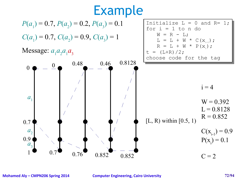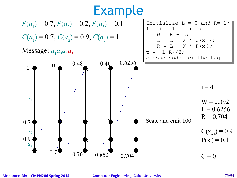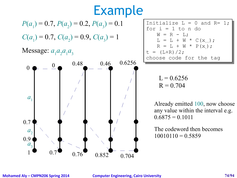$$
P(a_1) = 0.7, P(a_2) = 0.2, P(a_3) = 0.1
$$

 $C(a_1) = 0.7$ ,  $C(a_2) = 0.9$ ,  $C(a_3) = 1$ 

#### Message:  $a_1 a_2 a_1 a_3$



Initialize  $L = 0$  and  $R = 1$ ; for  $i = 1$  to n do  $W = R - L;$  $L = L + W * C(x_{i-1});$  $R = L + W * P(x_i);$  $t = (L+R)/2;$ choose code for the tag choose code for the tag

> $L = 0.6256$  $R = 0.704$

Already emitted 100, now choose any value within the interval e.g.  $0.6875 = 0.1011$ 

The codeword then becomes  $10010110 = 0.5859$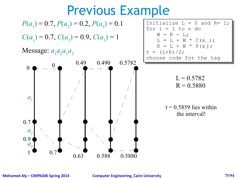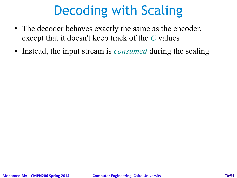# Decoding with Scaling

- The decoder behaves exactly the same as the encoder, except that it doesn't keep track of the *C* values
- Instead, the input stream is *consumed* during the scaling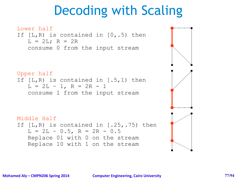# Decoding with Scaling



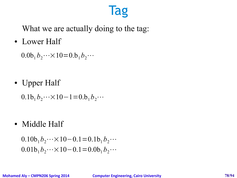#### Tag

What we are actually doing to the tag:

• Lower Half

 $0.0b_1 b_2 \cdots \times 10 = 0.b_1 b_2 \cdots$ 

• Upper Half

 $0.1b_1 b_2 \cdots \times 10 - 1 = 0.b_1 b_2 \cdots$ 

• Middle Half

 $0.10b_1b_2\cdots\times10-0.1=0.1b_1b_2\cdots$  $0.01b_1b_2\cdots\times10-0.1=0.0b_1b_2\cdots$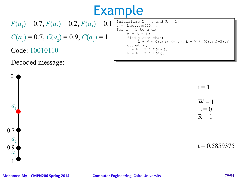$$
P(a_1) = 0.7, P(a_2) = 0.2, P(a_3) = 0.1
$$

 $C(a_1) = 0.7$ ,  $C(a_2) = 0.9$ ,  $C(a_3) = 1$ 

Code: 10010110

0

 $a<sub>1</sub>$ 

1

 $a_{3}$ 

 $a<sub>2</sub>$ 

0.7

0.9

Decoded message:

Initialize  $L = 0$  and  $R = 1$ ;  $t = 0.0102...b$ KOOO $...$ for  $i = 1$  to n do w - R - L;<br>find j such that:  $\begin{array}{c} \text{and} \\ \text{and} \\ \text{and} \\ \text{and} \\ \text{and} \\ \text{and} \\ \text{and} \\ \text{and} \\ \text{and} \\ \text{and} \\ \text{and} \\ \text{and} \\ \text{and} \\ \text{and} \\ \text{and} \\ \text{and} \\ \text{and} \\ \text{and} \\ \text{and} \\ \text{and} \\ \text{and} \\ \text{and} \\ \text{and} \\ \text{and} \\ \text{and} \\ \text{and} \\ \text{and} \\ \text{and} \\ \text{and} \\ \text{and} \\ \text{and} \\ \text{and} \\ \text{and} \\ \text{and} \\ \text{and} \\ \text{$  $L + W * C(a_{j-1}) \le t \le L + W * (C(a_{j-1}) + P(a_j))$ utput aj,<br>- II M  $L = L + W * C(a_{j-1});$  $R = L + W * P(a_j);$  $t =$ .b1b2...bk000...  $W = R - L$ ; output aj;

 $i = 1$ 



 $t = 0.5859375$ 

**Mohamed Aly – CMPN206 Spring 2014 Computer Engineering, Cairo University 79/94**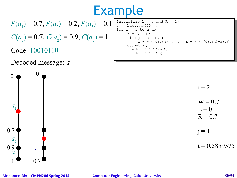$$
P(a_1) = 0.7, P(a_2) = 0.2, P(a_3) = 0.1
$$

 $C(a_1) = 0.7$ ,  $C(a_2) = 0.9$ ,  $C(a_3) = 1$ 

Code: 10010110

Decoded message:  $a_1$ 



Initialize L = 0 and R = 1;

\n
$$
t = .\text{bib2...bk000...}
$$
\nfor i = 1 to n do

\n
$$
W = R - L;
$$
\nfind j such that:

\n
$$
L + W * C(aj-1) \leq t \leq L + W * (C(aj-1) + P(aj))
$$
\noutput aj:

\n
$$
L = L + W * C(aj-1);
$$
\n
$$
R = L + W * P(aj);
$$

 $i = 2$ 

$$
W = 0.7
$$
  
L = 0  
R = 0.7

 $j = 1$ 

 $t = 0.5859375$ 

#### **Mohamed Aly – CMPN206 Spring 2014 Computer Engineering, Cairo University 80/94**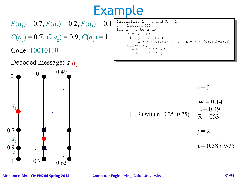$$
P(a_1) = 0.7, P(a_2) = 0.2, P(a_3) = 0.1
$$

 $C(a_1) = 0.7$ ,  $C(a_2) = 0.9$ ,  $C(a_3) = 1$ 

Code: 10010110

Decoded message:  $a_1 a_2$ 



```
Initialize L = 0 and R = 1;
   t = 0.0102...bKOOO...for i = 1 to n do
                 w - R - L;<br>find j such that:
                    \begin{array}{c} \text{and} \\ \text{and} \\ \text{and} \\ \text{and} \\ \text{and} \\ \text{and} \\ \text{and} \\ \text{and} \\ \text{and} \\ \text{and} \\ \text{and} \\ \text{and} \\ \text{and} \\ \text{and} \\ \text{and} \\ \text{and} \\ \text{and} \\ \text{and} \\ \text{and} \\ \text{and} \\ \text{and} \\ \text{and} \\ \text{and} \\ \text{and} \\ \text{and} \\ \text{and} \\ \text{and} \\ \text{and} \\ \text{and} \\ \text{and} \\ \text{and} \\ \text{and} \\ \text{and} \\ \text{and} \\ \text{and} \\ \text{L + W * C(a_{j-1}) \le t \le L + W * (C(a_{j-1}) + P(a_j))utput aj,<br>- II M
                 L = L + W * C(a_{j-1});R = L + W * P(a_j);t =.b1b2...bk000...
                W = R - L;
                output aj;
```

$$
i=3
$$

$$
W = 0.14
$$
  
\n
$$
L = 0.49
$$
  
\n
$$
L = 0.49
$$
  
\n
$$
R = 063
$$

 $i = 2$ 

 $t = 0.5859375$ 

#### **Mohamed Aly – CMPN206 Spring 2014 Computer Engineering, Cairo University 81/94**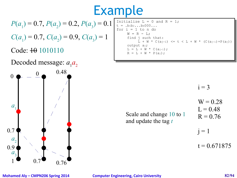$$
P(a_1) = 0.7, P(a_2) = 0.2, P(a_3) = 0.1
$$

 $C(a_1) = 0.7$ ,  $C(a_2) = 0.9$ ,  $C(a_3) = 1$ 

Code:  $\overline{40}$  1010110

Decoded message:  $a_1 a_2$ 



```
Initialize L = 0 and R = 1;
   t = 0.0102...bKOOO...for i = 1 to n do
                 w - R - L;<br>find j such that:
                    \begin{array}{c} \text{and} \\ \text{and} \\ \text{and} \\ \text{and} \\ \text{and} \\ \text{and} \\ \text{and} \\ \text{and} \\ \text{and} \\ \text{and} \\ \text{and} \\ \text{and} \\ \text{and} \\ \text{and} \\ \text{and} \\ \text{and} \\ \text{and} \\ \text{and} \\ \text{and} \\ \text{and} \\ \text{and} \\ \text{and} \\ \text{and} \\ \text{and} \\ \text{and} \\ \text{and} \\ \text{and} \\ \text{and} \\ \text{and} \\ \text{and} \\ \text{and} \\ \text{and} \\ \text{and} \\ \text{and} \\ \text{and} \\ \text{L + W * C(a_{j-1}) \le t \le L + W * (C(a_{j-1}) + P(a_j))utput aj,<br>- II M
                 L = L + W * C(a_{j-1});R = L + W * P(a_j);t =.b1b2...bk000...
                W = R - L;
                output aj;
```
 $i = 3$ 

Scale and change 10 to 1 and update the tag *t*

 $W = 0.28$  $L = 0.48$  $R = 0.76$  $i = 1$ 

 $t = 0.671875$ 

#### **Mohamed Aly – CMPN206 Spring 2014 Computer Engineering, Cairo University 82/94**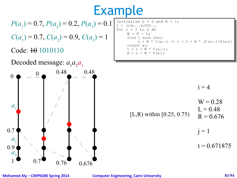$$
P(a_1) = 0.7, P(a_2) = 0.2, P(a_3) = 0.1
$$

 $C(a_1) = 0.7$ ,  $C(a_2) = 0.9$ ,  $C(a_3) = 1$ 

#### Code:  $\theta$  1010110

Decoded message:  $a_1 a_2 a_1$ 



Initialize L = 0 and R = 1;

\n
$$
t = .\text{bib2...bk000...}
$$
\nfor i = 1 to n do

\n
$$
W = R - L;
$$
\nfind j such that:

\n
$$
L + W * C(aj-1) \leq t \leq L + W * (C(aj-1) + P(aj))
$$
\noutput aj;

\n
$$
L = L + W * C(aj-1);
$$
\n
$$
R = L + W * P(aj);
$$

$$
i=4
$$

$$
W = 0.28
$$
  
[L,R) within [0.25, 0.75] 
$$
L = 0.48
$$

$$
R = 0.676
$$

 $j = 1$ 

 $t = 0.671875$ 

#### **Mohamed Aly – CMPN206 Spring 2014 Computer Engineering, Cairo University 83/94**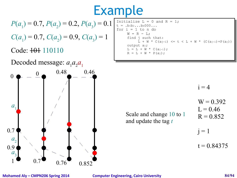$$
P(a_1) = 0.7, P(a_2) = 0.2, P(a_3) = 0.1
$$

 $C(a_1) = 0.7$ ,  $C(a_2) = 0.9$ ,  $C(a_3) = 1$ 

#### Code:  $+0+110110$

Decoded message:  $a_1 a_2 a_1$ 



| Initialize $L = 0$ and $R = 1$ ; |                                                                |
|----------------------------------|----------------------------------------------------------------|
| $t = .b_1b_2b_k000$              |                                                                |
| for $i = 1$ to n do              |                                                                |
| $W = R - L$ ;                    |                                                                |
| find j such that:                |                                                                |
|                                  | $L + W * C(a_{i-1}) \le t \le L + W * (C(a_{i-1}) + P(a_{i}))$ |
| output aj;                       |                                                                |
| $L = L + W * C(a_{j-1})$ ;       |                                                                |
| $R = L + W * P(a_i);$            |                                                                |
|                                  |                                                                |

$$
i=4
$$

Scale and change 10 to 1 and update the tag *t*

 $W = 0.392$  $L = 0.46$  $R = 0.852$ 

 $j = 1$ 

 $t = 0.84375$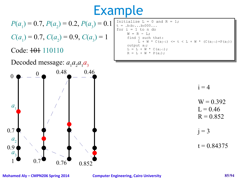$$
P(a_1) = 0.7, P(a_2) = 0.2, P(a_3) = 0.1
$$

 $C(a_1) = 0.7$ ,  $C(a_2) = 0.9$ ,  $C(a_3) = 1$ 

#### Code:  $+0+110110$



Initialize  $L = 0$  and  $R = 1$ ;  $t = 0.0102...b$ KOOO $...$ for  $i = 1$  to n do w - R - L;<br>find j such that:  $\begin{array}{c} \text{and} \\ \text{and} \\ \text{and} \\ \text{and} \\ \text{and} \\ \text{and} \\ \text{and} \\ \text{and} \\ \text{and} \\ \text{and} \\ \text{and} \\ \text{and} \\ \text{and} \\ \text{and} \\ \text{and} \\ \text{and} \\ \text{and} \\ \text{and} \\ \text{and} \\ \text{and} \\ \text{and} \\ \text{and} \\ \text{and} \\ \text{and} \\ \text{and} \\ \text{and} \\ \text{and} \\ \text{and} \\ \text{and} \\ \text{and} \\ \text{and} \\ \text{and} \\ \text{and} \\ \text{and} \\ \text{and} \\ \text{$  $L + W * C(a_{j-1}) \le t \le L + W * (C(a_{j-1}) + P(a_j))$ utput aj,<br>- II M  $L = L + W * C(a_{j-1});$  $R = L + W * P(a_j);$  $t =$ .b1b2...bk000...  $W = R - L$ ; output aj;

$$
i=4
$$

$$
W = 0.392
$$
  

$$
L = 0.46
$$
  

$$
R = 0.852
$$

$$
j=3
$$

 $t = 0.84375$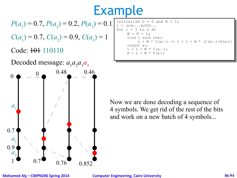$$
P(a_1) = 0.7, P(a_2) = 0.2, P(a_3) = 0.1
$$

 $C(a_1) = 0.7$ ,  $C(a_2) = 0.9$ ,  $C(a_3) = 1$ 

#### Code:  $10110$

Decoded message:  $a_1 a_2 a_1 a_3$ 



```
Initialize L = 0 and R = 1;<br>t = .bib2...bk000...
   t = 0.0102...bKOOO...for i = 1 to n do
                 w - R - L;<br>find j such that:
                   \begin{array}{c} \text{and} \\ \text{and} \\ \text{and} \\ \text{and} \\ \text{and} \\ \text{and} \\ \text{and} \\ \text{and} \\ \text{and} \\ \text{and} \\ \text{and} \\ \text{and} \\ \text{and} \\ \text{and} \\ \text{and} \\ \text{and} \\ \text{and} \\ \text{and} \\ \text{and} \\ \text{and} \\ \text{and} \\ \text{and} \\ \text{and} \\ \text{and} \\ \text{and} \\ \text{and} \\ \text{and} \\ \text{and} \\ \text{and} \\ \text{and} \\ \text{and} \\ \text{and} \\ \text{and} \\ \text{and} \\ \text{and} \\ \text{L + W * C(a_{j-1}) \le t \le L + W * (C(a_{j-1}) + P(a_j))U = L + W * C(a_{j-1});l = ⊥ ⊤ W <sup>*</sup> ∪(aj-l) ,<br>. _ т + ™ * D (э.) .
                 R = L + W * P(a_j);Initialize L = 0 and R = 1;
                W = R - L;
                output aj;
```
Now we are done decoding a sequence of 4 symbols. We get rid of the rest of the bits and work on a new batch of 4 symbols...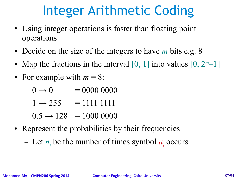# Integer Arithmetic Coding

- Using integer operations is faster than floating point operations
- Decide on the size of the integers to have *m* bits e.g. 8
- Map the fractions in the interval  $[0, 1]$  into values  $[0, 2<sup>m</sup>-1]$
- For example with  $m = 8$ :
	- $0 \rightarrow 0 = 0000 0000$
	- $1 \rightarrow 255 = 111111111$
	- $0.5 \rightarrow 128 = 1000 0000$
- Represent the probabilities by their frequencies
	- Let  $n_i$  be the number of times symbol  $a_i$  occurs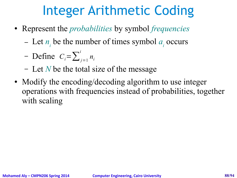# Integer Arithmetic Coding

- Represent the *probabilities* by symbol *frequencies*
	- Let  $n_i$  be the number of times symbol  $a_i$  occurs
	- $-$  Define  $C_i = \sum_{j=1}^i$ *ni*
	- Let *N* be the total size of the message
- Modify the encoding/decoding algorithm to use integer operations with frequencies instead of probabilities, together with scaling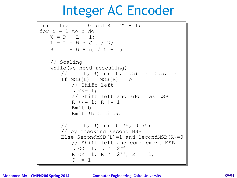#### Integer AC Encoder

```
Initialize L = 0 and R = 2<sup>m</sup> - 1;
for i = 1 to n do
      W = R – L + 1;
     L = L + W * C_{i-1} / N;R = L + W * n_i / N - 1;// Scaling
// Scaling
     while(we need rescaling)
while(we need rescaling)
          // If [L, R) in [0, 0.5) or [0.5, 1)
// If [L, R) in [0, 0.5) or [0.5, 1)
          If MSB(L) = MSB(R) = b// Shift left
// Shift left
                L \leq l = 1;// Shift left and add 1 as LSB
// Shift left and add 1 as LSB
                R <<= 1; R |= 1
R <<= 1; R |= 1
                Emit b
Emit b
                Emit !b C times
Emit !b C times
          // If [L, R) in [0.25, 0.75)
// If [L, R) in [0.25, 0.75)
          // by checking second MSB
// by checking second MSB
          Else SecondMSB(L) = 1 and SecondMSB(R) = 0// Shift left and complement MSB
// Shift left and complement MSB
                L <<= 1; L ^{\wedge}= 2^{m-1}R <<= 1; R ^= 2<sup>m-1</sup>; R |= 1;
                C += 1
    W = R - L + 1:
```
**Mohamed Aly – CMPN206 Spring 2014 Computer Engineering, Cairo University 89/94**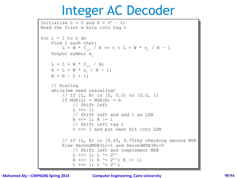#### Integer AC Decoder

```
Initialize L = 0 and R = 2<sup>m</sup> - 1;
Read the first m bits into tag t
Read the first m bits into tag t
for i = 1 to n doFind j such that:
            L + W * C_{j-1} / N \le t \le L + W * n_{j} / N - 1Output symbol aj
Output symbol aj
      L = L + W * C_{j-1} / N;R = L + W * n<sub>j</sub> / N - 1;W = R - L + 1;// Scaling
// Scaling
      while(we need rescaling)
while(we need rescaling)
            // If [L, R) in [0, 0.5) or [0.5, 1)
// If [L, R) in [0, 0.5) or [0.5, 1)
            If MSB(L) = MSB(R) = b// Shift left
// Shift left
                  L \leq l = 1;// Shift left and add 1 as LSB
// Shift left and add 1 as LSB
                  R \ll = 1; R \mid = 1// Shift left tag t
// Shift left tag t
                  t <<= 1 and put next bit into LSB
t <<= 1 and put next bit into LSB
            // If [L, R) in [0.25, 0.75) by checking second MSB
            Else SecondMSB(L) = 1 and SecondMSB(R) = 0// Shift left and complement MSB
// Shift left and complement MSB
                  L <<= 1; L \uparrow = 2^{m-1}R <<= 1; R ^= 2^{m-1}; R |= 1;
                  t <<= 1; t ^= 2^{m-1};
```
**Mohamed Aly – CMPN206 Spring 2014 Computer Engineering, Cairo University 90/94**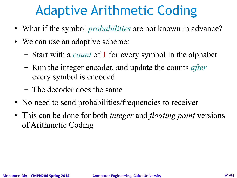# Adaptive Arithmetic Coding

- What if the symbol *probabilities* are not known in advance?
- We can use an adaptive scheme:
	- Start with a *count* of 1 for every symbol in the alphabet
	- Run the integer encoder, and update the counts *after* every symbol is encoded
	- The decoder does the same
- No need to send probabilities/frequencies to receiver
- This can be done for both *integer* and *floating point* versions of Arithmetic Coding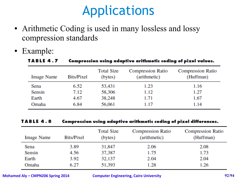# Applications

- Arithmetic Coding is used in many lossless and lossy compression standards
- Example:

| TABLE 4.7         | Compression using adaptive arithmetic coding of pixel values. |                              |                                          |                                       |  |
|-------------------|---------------------------------------------------------------|------------------------------|------------------------------------------|---------------------------------------|--|
| <b>Image Name</b> | Bits/Pixel                                                    | <b>Total Size</b><br>(bytes) | <b>Compression Ratio</b><br>(arithmetic) | <b>Compression Ratio</b><br>(Huffman) |  |
| Sena              | 6.52                                                          | 53,431                       | 1.23                                     | 1.16                                  |  |
| Sensin            | 7.12                                                          | 58,306                       | 1.12                                     | 1.27                                  |  |
| Earth             | 4.67                                                          | 38,248                       | 1.71                                     | 1.67                                  |  |
| Omaha             | 6.84                                                          | 56,061                       | 1.17                                     | 1.14                                  |  |

| TABLE 4.8<br><b>Image Name</b> | Compression using adaptive arithmetic coding of pixel differences. |                              |                                          |                                       |  |
|--------------------------------|--------------------------------------------------------------------|------------------------------|------------------------------------------|---------------------------------------|--|
|                                | <b>Bits/Pixel</b>                                                  | <b>Total Size</b><br>(bytes) | <b>Compression Ratio</b><br>(arithmetic) | <b>Compression Ratio</b><br>(Huffman) |  |
| Sena                           | 3.89                                                               | 31,847                       | 2.06                                     | 2.08                                  |  |
| Sensin                         | 4.56                                                               | 37,387                       | 1.75                                     | 1.73                                  |  |
| Earth                          | 3.92                                                               | 32,137                       | 2.04                                     | 2.04                                  |  |
| Omaha                          | 6.27                                                               | 51,393                       | 1.28                                     | 1.26                                  |  |

**Mohamed Aly – CMPN206 Spring 2014 Computer Engineering, Cairo University 92/94**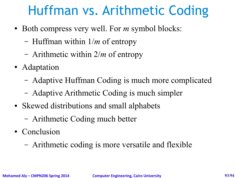### Huffman vs. Arithmetic Coding

- Both compress very well. For *m* symbol blocks:
	- Huffman within 1/*m* of entropy
	- Arithmetic within 2/*m* of entropy
- Adaptation
	- Adaptive Huffman Coding is much more complicated
	- Adaptive Arithmetic Coding is much simpler
- Skewed distributions and small alphabets
	- Arithmetic Coding much better
- Conclusion
	- Arithmetic coding is more versatile and flexible